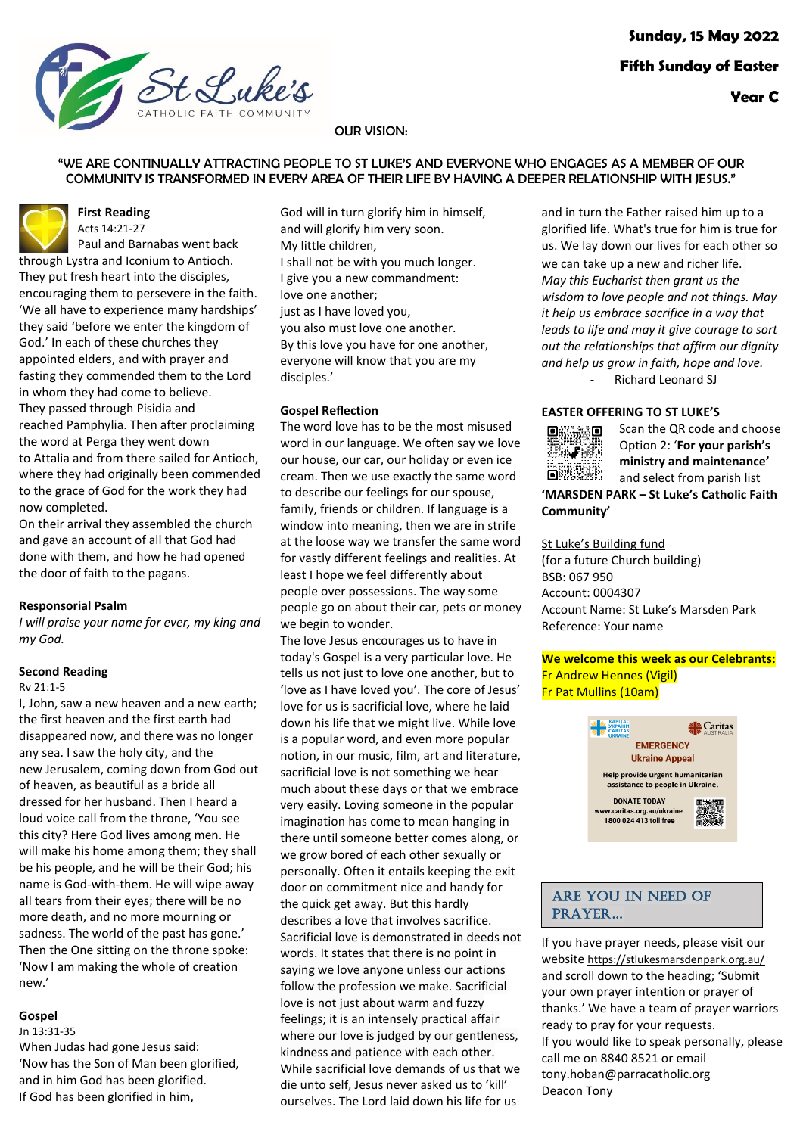

# OUR VISION:

## "WE ARE CONTINUALLY ATTRACTING PEOPLE TO ST LUKE'S AND EVERYONE WHO ENGAGES AS A MEMBER OF OUR COMMUNITY IS TRANSFORMED IN EVERY AREA OF THEIR LIFE BY HAVING A DEEPER RELATIONSHIP WITH JESUS."



**First Reading** Acts 14:21-27

Paul and Barnabas went back through Lystra and Iconium to Antioch. They put fresh heart into the disciples, encouraging them to persevere in the faith. 'We all have to experience many hardships' they said 'before we enter the kingdom of God.' In each of these churches they appointed elders, and with prayer and fasting they commended them to the Lord in whom they had come to believe. They passed through Pisidia and reached Pamphylia. Then after proclaiming the word at Perga they went down to Attalia and from there sailed for Antioch,

where they had originally been commended to the grace of God for the work they had now completed.

On their arrival they assembled the church and gave an account of all that God had done with them, and how he had opened the door of faith to the pagans.

### **Responsorial Psalm**

*I will praise your name for ever, my king and my God.*

#### **Second Reading**

Rv 21:1-5

I, John, saw a new heaven and a new earth; the first heaven and the first earth had disappeared now, and there was no longer any sea. I saw the holy city, and the new Jerusalem, coming down from God out of heaven, as beautiful as a bride all dressed for her husband. Then I heard a loud voice call from the throne, 'You see this city? Here God lives among men. He will make his home among them; they shall be his people, and he will be their God; his name is God-with-them. He will wipe away all tears from their eyes; there will be no more death, and no more mourning or sadness. The world of the past has gone.' Then the One sitting on the throne spoke: 'Now I am making the whole of creation new.'

### **Gospel**

Jn 13:31-35 When Judas had gone Jesus said: 'Now has the Son of Man been glorified, and in him God has been glorified. If God has been glorified in him,

God will in turn glorify him in himself, and will glorify him very soon. My little children, I shall not be with you much longer. I give you a new commandment: love one another; just as I have loved you, you also must love one another. By this love you have for one another, everyone will know that you are my disciples.'

### **Gospel Reflection**

The word love has to be the most misused word in our language. We often say we love our house, our car, our holiday or even ice cream. Then we use exactly the same word to describe our feelings for our spouse, family, friends or children. If language is a window into meaning, then we are in strife at the loose way we transfer the same word for vastly different feelings and realities. At least I hope we feel differently about people over possessions. The way some people go on about their car, pets or money we begin to wonder.

The love Jesus encourages us to have in today's Gospel is a very particular love. He tells us not just to love one another, but to 'love as I have loved you'. The core of Jesus' love for us is sacrificial love, where he laid down his life that we might live. While love is a popular word, and even more popular notion, in our music, film, art and literature, sacrificial love is not something we hear much about these days or that we embrace very easily. Loving someone in the popular imagination has come to mean hanging in there until someone better comes along, or we grow bored of each other sexually or personally. Often it entails keeping the exit door on commitment nice and handy for the quick get away. But this hardly describes a love that involves sacrifice. Sacrificial love is demonstrated in deeds not words. It states that there is no point in saying we love anyone unless our actions follow the profession we make. Sacrificial love is not just about warm and fuzzy feelings; it is an intensely practical affair where our love is judged by our gentleness, kindness and patience with each other. While sacrificial love demands of us that we die unto self, Jesus never asked us to 'kill' ourselves. The Lord laid down his life for us

and in turn the Father raised him up to a glorified life. What's true for him is true for us. We lay down our lives for each other so we can take up a new and richer life. *May this Eucharist then grant us the wisdom to love people and not things. May it help us embrace sacrifice in a way that leads to life and may it give courage to sort out the relationships that affirm our dignity and help us grow in faith, hope and love.* - Richard Leonard SJ

### **EASTER OFFERING TO ST LUKE'S**



Scan the QR code and choose Option 2: '**For your parish's ministry and maintenance'** and select from parish list

**'MARSDEN PARK – St Luke's Catholic Faith Community'**

### St Luke's Building fund

(for a future Church building) BSB: 067 950 Account: 0004307 Account Name: St Luke's Marsden Park Reference: Your name

### **We welcome this week as our Celebrants:** Fr Andrew Hennes (Vigil) Fr Pat Mullins (10am)



# ARE YOU IN NEED OF PRAYER…

If you have prayer needs, please visit our website https://stlukesmarsdenpark.org.au/ and scroll down to the heading; 'Submit your own prayer intention or prayer of thanks.' We have a team of prayer warriors ready to pray for your requests. If you would like to speak personally, please call me on 8840 8521 or email tony.hoban@parracatholic.org Deacon Tony